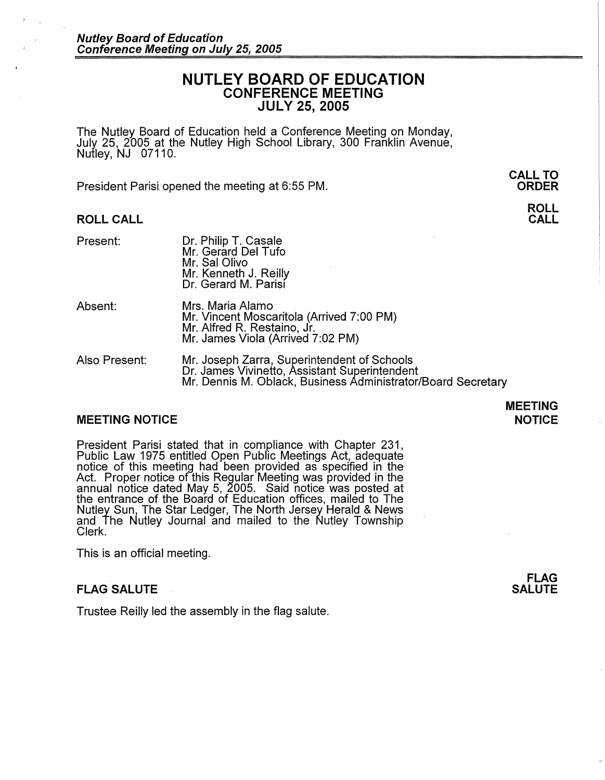# **NUTLEY BOARD OF EDUCATION CONFERENCE MEETING JULY 25, 2005**

The Nutley Board of Education held a Conference Meeting on Monday, July 25, 2005 at the Nutley High School Library, 300 Franklin Avenue, Nutley, NJ 07110.

President Parisi opened the meeting at 6:55 PM.

## **ROLL CALL**

| Present: | Dr. Philip T. Casale<br>Mr. Gerard Del Tufo<br>Mr. Sal Olivo<br>Mr. Kenneth J. Reilly<br>Dr. Gerard M. Parisi |
|----------|---------------------------------------------------------------------------------------------------------------|
|          |                                                                                                               |

- Absent: Mrs. Maria Alamo Mr. Vincent Moscaritola (Arrived 7:00 PM) Mr. Alfred R. Restaino, Jr. Mr. James Viola (Arrived 7:02 PM)
- Also Present: Mr. Joseph Zarra, Superintendent of Schools Dr. James Vivinetto, Assistant Superintendent Mr. Dennis M. Oblack, Business Administrator/Board Secretary

## **MEETING NOTICE**

## **MEETING NOTICE**

President Parisi stated that in compliance with Chapter 231, Public Law 1975 entitled Open Public Meetings Act, adequate notice of this meeting had been provided as specified in the Act. Proper notice of this Regular Meeting was provided in the annual notice dated May 5, 2005. Said notice was posted at the entrance of the Board of Education offices, mailed to The Nutley Sun, The Star Ledger, The North Jersey Herald & News and The Nutley Journal and mailed to the Nutley Township Clerk.

This is an official meeting.

## **FLAG SALUTE**

Trustee Reilly led the assembly in the flag salute.

**FLAG SALUTE** 

**ORDER ROLL** 

**CALL** 

**CALL TO**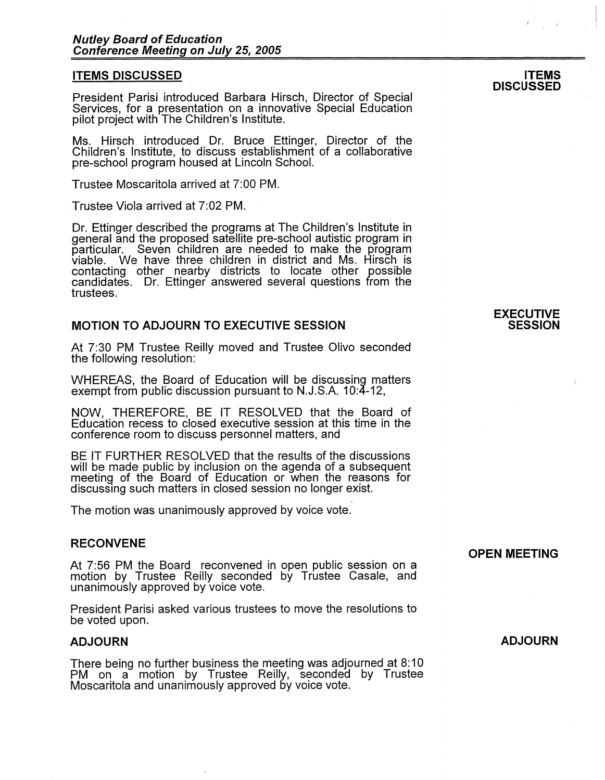### **ITEMS DISCUSSED**

President Parisi introduced Barbara Hirsch, Director of Special Services, for a presentation on a innovative Special Education pilot project with The Children's Institute.

Ms. Hirsch introduced Dr. Bruce Ettinger, Director of the Children's Institute, to discuss establishment of a collaborative pre-school program housed at Lincoln School.

Trustee Moscaritola arrived at 7:00 PM.

Trustee Viola arrived at 7:02 PM.

Dr. Ettinger described the programs at The Children's Institute in general and the proposed satellite pre-school autistic program in particular. Seven children are needed to make the program particular. Seven children are needed to make the program<br>viable. We have three children in district and Ms. Hirsch is contacting other nearby districts to locate other possible candidates. Dr. Ettinger answered several questions from the trustees.

## **MOTION TO ADJOURN TO EXECUTIVE SESSION**

At 7:30 PM Trustee Reilly moved and Trustee Olivo seconded the following resolution:

WHEREAS, the Board of Education will be discussing matters exempt from public discussion pursuant to N.J.S.A. 10:4-12,

**NOW,** THEREFORE, BE IT RESOLVED that the Board of Education recess to closed executive session at this time in the conference room to discuss personnel matters, and

BE IT FURTHER RESOLVED that the results of the discussions will be made public by inclusion on the agenda of a subsequent meeting of the Board of Education or when the reasons for discussing such matters in closed session no longer exist.

The motion was unanimously approved by voice vote.

## **RECONVENE**

At 7:56 PM the Board reconvened in open public session on a motion by Trustee Reilly seconded by Trustee Casale, and unanimously approved by voice vote.

President Parisi asked various trustees to move the resolutions to be voted upon.

## **ADJOURN**

There being no further business the meeting was adjourned at 8: 10 PM on a motion by Trustee Reilly, seconded by Trustee Moscaritola and unanimously approved by voice vote.

**ADJOURN** 

**OPEN MEETING** 

### **EXECUTIVE SESSION**

#### **ITEMS DISCUSSED**